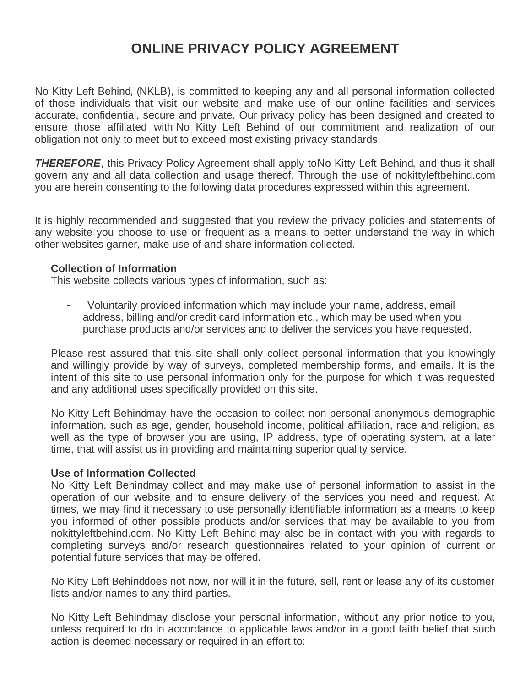# **ONLINE PRIVACY POLICY AGREEMENT**

No Kitty Left Behind, (NKLB), is committed to keeping any and all personal information collected of those individuals that visit our website and make use of our online facilities and services accurate, confidential, secure and private. Our privacy policy has been designed and created to ensure those affiliated with No Kitty Left Behind of our commitment and realization of our obligation not only to meet but to exceed most existing privacy standards.

**THEREFORE**, this Privacy Policy Agreement shall apply to No Kitty Left Behind, and thus it shall govern any and all data collection and usage thereof. Through the use of nokittyleftbehind.com you are herein consenting to the following data procedures expressed within this agreement.

It is highly recommended and suggested that you review the privacy policies and statements of any website you choose to use or frequent as a means to better understand the way in which other websites garner, make use of and share information collected.

### **Collection of Information**

This website collects various types of information, such as:

- Voluntarily provided information which may include your name, address, email address, billing and/or credit card information etc., which may be used when you purchase products and/or services and to deliver the services you have requested.

Please rest assured that this site shall only collect personal information that you knowingly and willingly provide by way of surveys, completed membership forms, and emails. It is the intent of this site to use personal information only for the purpose for which it was requested and any additional uses specifically provided on this site.

No Kitty Left Behindmay have the occasion to collect non-personal anonymous demographic information, such as age, gender, household income, political affiliation, race and religion, as well as the type of browser you are using, IP address, type of operating system, at a later time, that will assist us in providing and maintaining superior quality service.

#### **Use of Information Collected**

No Kitty Left Behindmay collect and may make use of personal information to assist in the operation of our website and to ensure delivery of the services you need and request. At times, we may find it necessary to use personally identifiable information as a means to keep you informed of other possible products and/or services that may be available to you from nokittyleftbehind.com. No Kitty Left Behind may also be in contact with you with regards to completing surveys and/or research questionnaires related to your opinion of current or potential future services that may be offered.

No Kitty Left Behinddoes not now, nor will it in the future, sell, rent or lease any of its customer lists and/or names to any third parties.

No Kitty Left Behindmay disclose your personal information, without any prior notice to you, unless required to do in accordance to applicable laws and/or in a good faith belief that such action is deemed necessary or required in an effort to: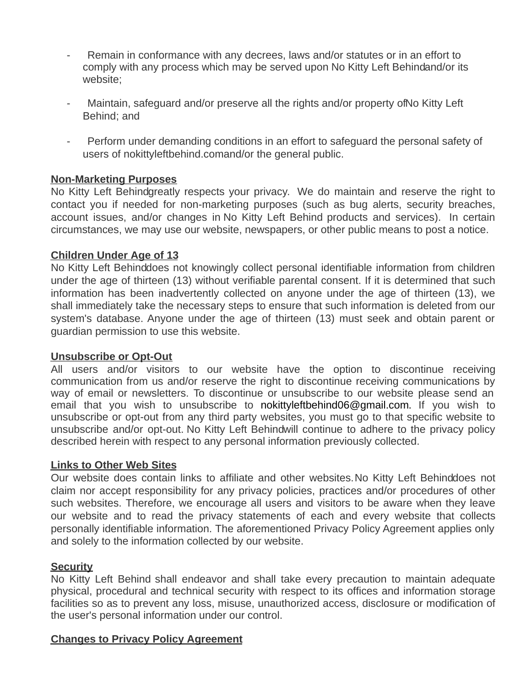- Remain in conformance with any decrees, laws and/or statutes or in an effort to comply with any process which may be served upon No Kitty Left Behindand/or its website;
- Maintain, safeguard and/or preserve all the rights and/or property of No Kitty Left Behind; and
- Perform under demanding conditions in an effort to safeguard the personal safety of users of nokittyleftbehind.comand/or the general public.

### **Non-Marketing Purposes**

No Kitty Left Behindgreatly respects your privacy. We do maintain and reserve the right to contact you if needed for non-marketing purposes (such as bug alerts, security breaches, account issues, and/or changes in No Kitty Left Behind products and services). In certain circumstances, we may use our website, newspapers, or other public means to post a notice.

### **Children Under Age of 13**

No Kitty Left Behinddoes not knowingly collect personal identifiable information from children under the age of thirteen (13) without verifiable parental consent. If it is determined that such information has been inadvertently collected on anyone under the age of thirteen (13), we shall immediately take the necessary steps to ensure that such information is deleted from our system's database. Anyone under the age of thirteen (13) must seek and obtain parent or guardian permission to use this website.

#### **Unsubscribe or Opt-Out**

All users and/or visitors to our website have the option to discontinue receiving communication from us and/or reserve the right to discontinue receiving communications by way of email or newsletters. To discontinue or unsubscribe to our website please send an email that you wish to unsubscribe to nokittyleftbehind06@gmail.com. If you wish to unsubscribe or opt-out from any third party websites, you must go to that specific website to unsubscribe and/or opt-out. No Kitty Left Behindwill continue to adhere to the privacy policy described herein with respect to any personal information previously collected.

#### **Links to Other Web Sites**

Our website does contain links to affiliate and other websites. No Kitty Left Behinddoes not claim nor accept responsibility for any privacy policies, practices and/or procedures of other such websites. Therefore, we encourage all users and visitors to be aware when they leave our website and to read the privacy statements of each and every website that collects personally identifiable information. The aforementioned Privacy Policy Agreement applies only and solely to the information collected by our website.

#### **Security**

No Kitty Left Behind shall endeavor and shall take every precaution to maintain adequate physical, procedural and technical security with respect to its offices and information storage facilities so as to prevent any loss, misuse, unauthorized access, disclosure or modification of the user's personal information under our control.

## **Changes to Privacy Policy Agreement**